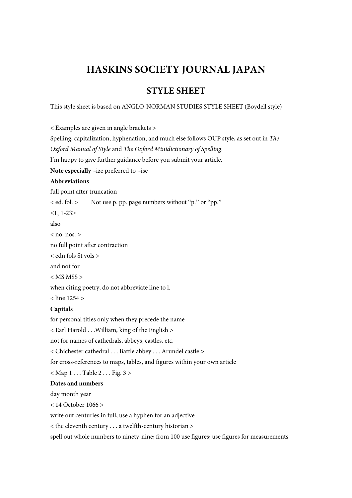# **HASKINS SOCIETY JOURNAL JAPAN**

# **STYLE SHEET**

This style sheet is based on ANGLO-NORMAN STUDIES STYLE SHEET (Boydell style)

< Examples are given in angle brackets >

Spelling, capitalization, hyphenation, and much else follows OUP style, as set out in *The Oxford Manual of Style* and *The Oxford Minidictionary of Spelling*. I'm happy to give further guidance before you submit your article. **Note especially -ize preferred to -ise Abbreviations**  full point after truncation < ed. fol. > Not use p. pp. page numbers without "p." or "pp."  $<1, 1-23$ also  $\langle$  no. nos.  $>$ no full point after contraction < edn fols St vols > and not for  $<$  MS MSS  $>$ when citing poetry, do not abbreviate line to l. < line 1254 > **Capitals**  for personal titles only when they precede the name

< Earl Harold . . .William, king of the English > not for names of cathedrals, abbeys, castles, etc. < Chichester cathedral . . . Battle abbey . . . Arundel castle > for cross-references to maps, tables, and figures within your own article  $<$  Map  $1 \ldots$  Table  $2 \ldots$  Fig.  $3 >$ **Dates and numbers** 

#### day month year

< 14 October 1066 >

write out centuries in full; use a hyphen for an adjective

< the eleventh century . . . a twelfth-century historian >

spell out whole numbers to ninety-nine; from 100 use figures; use figures for measurements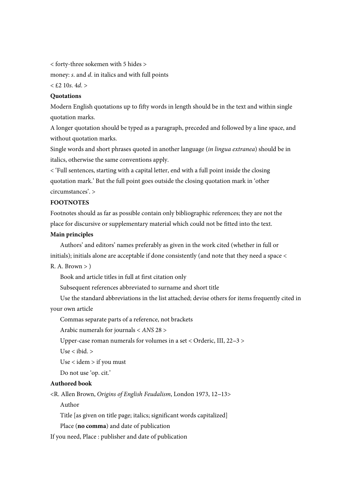< forty-three sokemen with 5 hides >

money: *s*. and *d*. in italics and with full points

 $<$  £2 10*s*. 4*d*. >

#### **Quotations**

Modern English quotations up to fifty words in length should be in the text and within single quotation marks.

A longer quotation should be typed as a paragraph, preceded and followed by a line space, and without quotation marks.

Single words and short phrases quoted in another language (*in lingua extranea*) should be in italics, otherwise the same conventions apply.

< 'Full sentences, starting with a capital letter, end with a full point inside the closing quotation mark.' But the full point goes outside the closing quotation mark in 'other circumstances'. >

# **FOOTNOTES**

Footnotes should as far as possible contain only bibliographic references; they are not the place for discursive or supplementary material which could not be fitted into the text.

# **Main principles**

Authors' and editors' names preferably as given in the work cited (whether in full or initials); initials alone are acceptable if done consistently (and note that they need a space <

# $R. A. Brown > 0$

Book and article titles in full at first citation only

Subsequent references abbreviated to surname and short title

Use the standard abbreviations in the list attached; devise others for items frequently cited in your own article

Commas separate parts of a reference, not brackets

Arabic numerals for journals < *ANS* 28 >

Upper-case roman numerals for volumes in a set < Orderic, III,  $22-3$  >

Use < ibid. >

Use < idem > if you must

Do not use 'op. cit.'

# **Authored book**

<R. Allen Brown, *Origins of English Feudalism*, London 1973, 12--13>

Author

Title [as given on title page; italics; significant words capitalized]

Place (**no comma**) and date of publication

If you need, Place : publisher and date of publication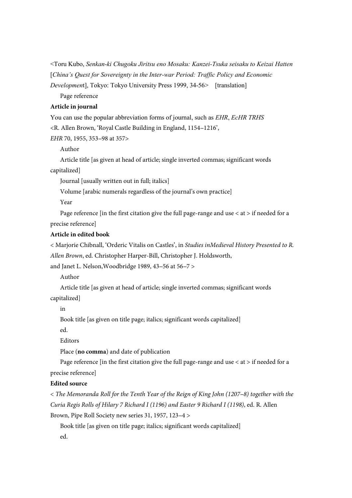<Toru Kubo, *Senkan-ki Chugoku Jiritsu eno Mosaku: Kanzei-Tsuka seisaku to Keizai Hatten* [*China's Quest for Sovereignty in the Inter-war Period: Traffic Policy and Economic* 

*Developmen*t], Tokyo: Tokyo University Press 1999, 34-56> [translation]

Page reference

# **Article in journal**

You can use the popular abbreviation forms of journal, such as *EHR*, *EcHR TRHS*

<R. Allen Brown, 'Royal Castle Building in England, 1154--1216',

*EHR 70, 1955, 353-98 at 357>* 

Author

Article title [as given at head of article; single inverted commas; significant words

capitalized]

Journal [usually written out in full; italics]

Volume [arabic numerals regardless of the journal's own practice]

Year

Page reference [in the first citation give the full page-range and use  $\lt$  at  $>$  if needed for a precise reference]

#### **Article in edited book**

< Marjorie Chibnall, 'Orderic Vitalis on Castles', in *Studies inMedieval History Presented to R. Allen Brown*, ed. Christopher Harper-Bill, Christopher J. Holdsworth,

and Janet L. Nelson, Woodbridge 1989, 43-56 at 56-7 >

Author

Article title [as given at head of article; single inverted commas; significant words capitalized]

in

Book title [as given on title page; italics; significant words capitalized]

ed.

Editors

Place (**no comma**) and date of publication

Page reference [in the first citation give the full page-range and use  $\lt$  at  $>$  if needed for a precise reference]

#### **Edited source**

 $\langle$  The Memoranda Roll for the Tenth Year of the Reign of King John (1207–8) together with the *Curia Regis Rolls of Hilary 7 Richard I (1196) and Easter 9 Richard I (1198)*, ed. R. Allen Brown, Pipe Roll Society new series 31, 1957, 123-4 >

Book title [as given on title page; italics; significant words capitalized] ed.